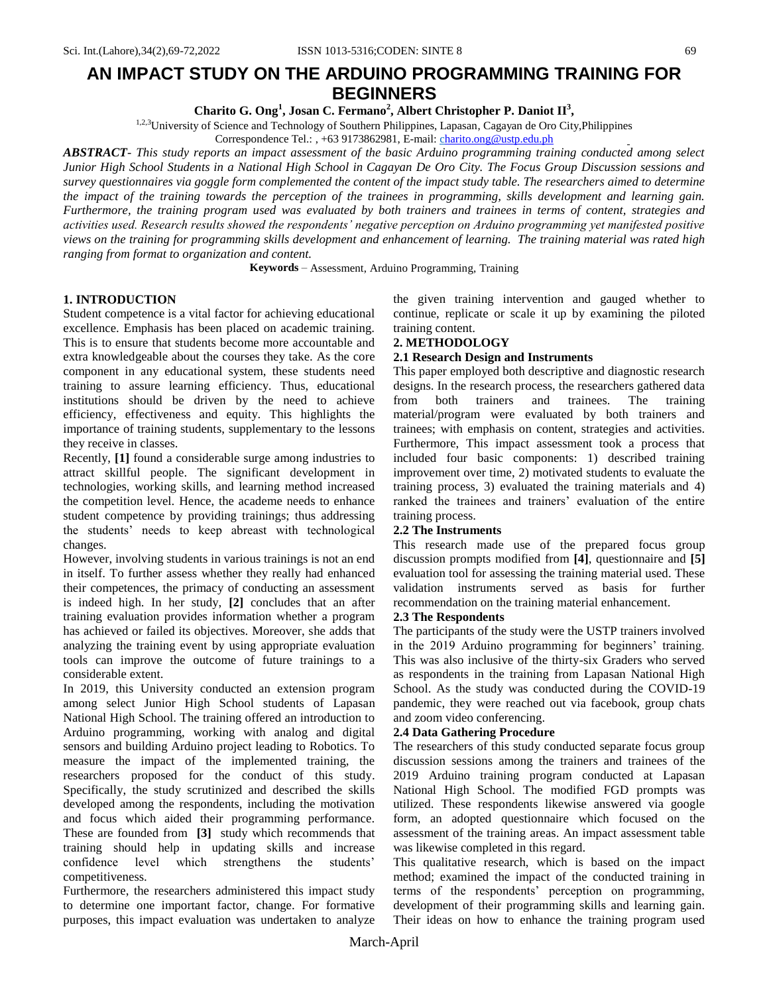# **AN IMPACT STUDY ON THE ARDUINO PROGRAMMING TRAINING FOR BEGINNERS**

**Charito G. Ong<sup>1</sup> , Josan C. Fermano<sup>2</sup> , Albert Christopher P. Daniot II<sup>3</sup> ,**

<sup>1,2,3</sup>University of Science and Technology of Southern Philippines, Lapasan, Cagayan de Oro City, Philippines

Correspondence Tel.: , +63 9173862981, E-mail: [ch](mailto:janneth.rondina@ustp.edu.ph%20%202marife_ubalde@ustp.edu.ph,)arito.ong@ustp.edu.ph

*ABSTRACT- This study reports an impact assessment of the basic Arduino programming training conducted among select Junior High School Students in a National High School in Cagayan De Oro City. The Focus Group Discussion sessions and survey questionnaires via goggle form complemented the content of the impact study table. The researchers aimed to determine the impact of the training towards the perception of the trainees in programming, skills development and learning gain. Furthermore, the training program used was evaluated by both trainers and trainees in terms of content, strategies and activities used. Research results showed the respondents' negative perception on Arduino programming yet manifested positive views on the training for programming skills development and enhancement of learning. The training material was rated high ranging from format to organization and content.* 

**Keywords** – Assessment, Arduino Programming, Training

## **1. INTRODUCTION**

Student competence is a vital factor for achieving educational excellence. Emphasis has been placed on academic training. This is to ensure that students become more accountable and extra knowledgeable about the courses they take. As the core component in any educational system, these students need training to assure learning efficiency. Thus, educational institutions should be driven by the need to achieve efficiency, effectiveness and equity. This highlights the importance of training students, supplementary to the lessons they receive in classes.

Recently, **[1]** found a considerable surge among industries to attract skillful people. The significant development in technologies, working skills, and learning method increased the competition level. Hence, the academe needs to enhance student competence by providing trainings; thus addressing the students' needs to keep abreast with technological changes.

However, involving students in various trainings is not an end in itself. To further assess whether they really had enhanced their competences, the primacy of conducting an assessment is indeed high. In her study, **[2]** concludes that an after training evaluation provides information whether a program has achieved or failed its objectives. Moreover, she adds that analyzing the training event by using appropriate evaluation tools can improve the outcome of future trainings to a considerable extent.

In 2019, this University conducted an extension program among select Junior High School students of Lapasan National High School. The training offered an introduction to Arduino programming, working with analog and digital sensors and building Arduino project leading to Robotics. To measure the impact of the implemented training, the researchers proposed for the conduct of this study. Specifically, the study scrutinized and described the skills developed among the respondents, including the motivation and focus which aided their programming performance. These are founded from **[3]** study which recommends that training should help in updating skills and increase confidence level which strengthens the students' competitiveness.

Furthermore, the researchers administered this impact study to determine one important factor, change. For formative purposes, this impact evaluation was undertaken to analyze

the given training intervention and gauged whether to continue, replicate or scale it up by examining the piloted training content.

#### **2. METHODOLOGY**

#### **2.1 Research Design and Instruments**

This paper employed both descriptive and diagnostic research designs. In the research process, the researchers gathered data from both trainers and trainees. The training material/program were evaluated by both trainers and trainees; with emphasis on content, strategies and activities. Furthermore, This impact assessment took a process that included four basic components: 1) described training improvement over time, 2) motivated students to evaluate the training process, 3) evaluated the training materials and 4) ranked the trainees and trainers' evaluation of the entire training process.

## **2.2 The Instruments**

This research made use of the prepared focus group discussion prompts modified from **[4]**, questionnaire and **[5]** evaluation tool for assessing the training material used. These validation instruments served as basis for further recommendation on the training material enhancement.

## **2.3 The Respondents**

The participants of the study were the USTP trainers involved in the 2019 Arduino programming for beginners' training. This was also inclusive of the thirty-six Graders who served as respondents in the training from Lapasan National High School. As the study was conducted during the COVID-19 pandemic, they were reached out via facebook, group chats and zoom video conferencing.

## **2.4 Data Gathering Procedure**

The researchers of this study conducted separate focus group discussion sessions among the trainers and trainees of the 2019 Arduino training program conducted at Lapasan National High School. The modified FGD prompts was utilized. These respondents likewise answered via google form, an adopted questionnaire which focused on the assessment of the training areas. An impact assessment table was likewise completed in this regard.

This qualitative research, which is based on the impact method; examined the impact of the conducted training in terms of the respondents' perception on programming, development of their programming skills and learning gain. Their ideas on how to enhance the training program used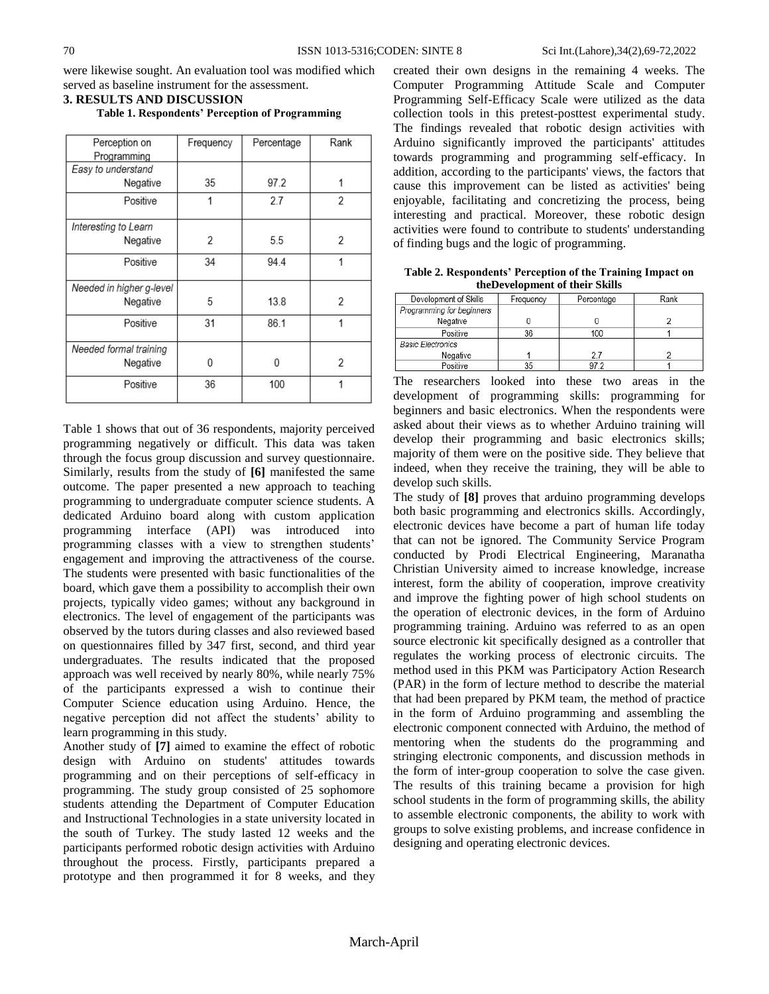were likewise sought. An evaluation tool was modified which served as baseline instrument for the assessment.

| Perception on            | Frequency | Percentage | Rank |
|--------------------------|-----------|------------|------|
| Programming              |           |            |      |
| Easy to understand       |           |            |      |
| Negative                 |           | 35<br>97.2 |      |
| Positive                 | 1         | 27         | 2    |
| Interesting to Learn     |           |            |      |
| Negative                 | 2         | 5.5        | 2    |
| Positive                 | 34        | 94.4       |      |
| Needed in higher g-level |           |            |      |
| Negative                 | 5         | 13.8       | 2    |
| Positive                 | 31        | 86.1       | 1    |
| Needed formal training   |           |            |      |
| Negative                 | O         | O          | 2    |
| Positive                 | 36        | 100        |      |

**Table 1. Respondents' Perception of Programming**

**3. RESULTS AND DISCUSSION**

Table 1 shows that out of 36 respondents, majority perceived programming negatively or difficult. This data was taken through the focus group discussion and survey questionnaire. Similarly, results from the study of **[6]** manifested the same outcome. The paper presented a new approach to teaching programming to undergraduate computer science students. A dedicated Arduino board along with custom application programming interface (API) was introduced into programming classes with a view to strengthen students' engagement and improving the attractiveness of the course. The students were presented with basic functionalities of the board, which gave them a possibility to accomplish their own projects, typically video games; without any background in electronics. The level of engagement of the participants was observed by the tutors during classes and also reviewed based on questionnaires filled by 347 first, second, and third year undergraduates. The results indicated that the proposed approach was well received by nearly 80%, while nearly 75% of the participants expressed a wish to continue their Computer Science education using Arduino. Hence, the negative perception did not affect the students' ability to learn programming in this study.

Another study of **[7]** aimed to examine the effect of robotic design with Arduino on students' attitudes towards programming and on their perceptions of self-efficacy in programming. The study group consisted of 25 sophomore students attending the Department of Computer Education and Instructional Technologies in a state university located in the south of Turkey. The study lasted 12 weeks and the participants performed robotic design activities with Arduino throughout the process. Firstly, participants prepared a prototype and then programmed it for 8 weeks, and they

created their own designs in the remaining 4 weeks. The Computer Programming Attitude Scale and Computer Programming Self-Efficacy Scale were utilized as the data collection tools in this pretest-posttest experimental study. The findings revealed that robotic design activities with Arduino significantly improved the participants' attitudes towards programming and programming self-efficacy. In addition, according to the participants' views, the factors that cause this improvement can be listed as activities' being enjoyable, facilitating and concretizing the process, being interesting and practical. Moreover, these robotic design activities were found to contribute to students' understanding of finding bugs and the logic of programming.

**Table 2. Respondents' Perception of the Training Impact on theDevelopment of their Skills**

| Development of Skills     | Frequency | Percentage | Rank |
|---------------------------|-----------|------------|------|
| Programming for beginners |           |            |      |
| Negative                  |           |            |      |
| Positive                  | 36        | 100        |      |
| <b>Basic Electronics</b>  |           |            |      |
| Negative                  |           | 27         |      |
| Positive                  | 35        | 972        |      |

The researchers looked into these two areas in the development of programming skills: programming for beginners and basic electronics. When the respondents were asked about their views as to whether Arduino training will develop their programming and basic electronics skills; majority of them were on the positive side. They believe that indeed, when they receive the training, they will be able to develop such skills.

The study of **[8]** proves that arduino programming develops both basic programming and electronics skills. Accordingly, electronic devices have become a part of human life today that can not be ignored. The Community Service Program conducted by Prodi Electrical Engineering, Maranatha Christian University aimed to increase knowledge, increase interest, form the ability of cooperation, improve creativity and improve the fighting power of high school students on the operation of electronic devices, in the form of Arduino programming training. Arduino was referred to as an open source electronic kit specifically designed as a controller that regulates the working process of electronic circuits. The method used in this PKM was Participatory Action Research (PAR) in the form of lecture method to describe the material that had been prepared by PKM team, the method of practice in the form of Arduino programming and assembling the electronic component connected with Arduino, the method of mentoring when the students do the programming and stringing electronic components, and discussion methods in the form of inter-group cooperation to solve the case given. The results of this training became a provision for high school students in the form of programming skills, the ability to assemble electronic components, the ability to work with groups to solve existing problems, and increase confidence in designing and operating electronic devices.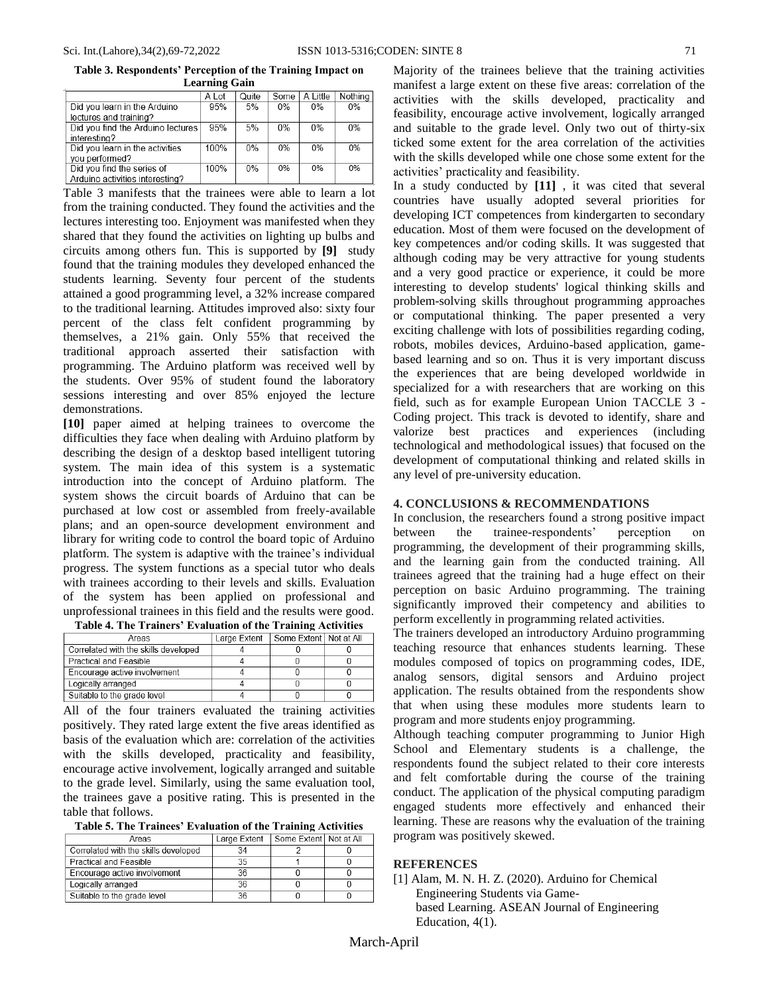**Table 3. Respondents' Perception of the Training Impact on Learning Gain**

| Ltai illing valil |       |       |          |         |
|-------------------|-------|-------|----------|---------|
| A Lot             | Quite | Some  | A Little | Nothing |
| 95%               | 5%    | $0\%$ | $0\%$    | $0\%$   |
|                   |       |       |          |         |
| 95%               | 5%    | $0\%$ | 0%       | 0%      |
|                   |       |       |          |         |
| 100%              | 0%    | 0%    | 0%       | 0%      |
|                   |       |       |          |         |
| 100%              | $0\%$ | 0%    | 0%       | 0%      |
|                   |       |       |          |         |
|                   |       |       |          |         |

Table 3 manifests that the trainees were able to learn a lot from the training conducted. They found the activities and the lectures interesting too. Enjoyment was manifested when they shared that they found the activities on lighting up bulbs and circuits among others fun. This is supported by **[9]** study found that the training modules they developed enhanced the students learning. Seventy four percent of the students attained a good programming level, a 32% increase compared to the traditional learning. Attitudes improved also: sixty four percent of the class felt confident programming by themselves, a 21% gain. Only 55% that received the traditional approach asserted their satisfaction with programming. The Arduino platform was received well by the students. Over 95% of student found the laboratory sessions interesting and over 85% enjoyed the lecture demonstrations.

**[10]** paper aimed at helping trainees to overcome the difficulties they face when dealing with Arduino platform by describing the design of a desktop based intelligent tutoring system. The main idea of this system is a systematic introduction into the concept of Arduino platform. The system shows the circuit boards of Arduino that can be purchased at low cost or assembled from freely-available plans; and an open-source development environment and library for writing code to control the board topic of Arduino platform. The system is adaptive with the trainee's individual progress. The system functions as a special tutor who deals with trainees according to their levels and skills. Evaluation of the system has been applied on professional and unprofessional trainees in this field and the results were good.

| Areas                                | Large Extent | Some Extent   Not at All |  |
|--------------------------------------|--------------|--------------------------|--|
| Correlated with the skills developed |              |                          |  |
| Practical and Feasible               |              |                          |  |
| Encourage active involvement         |              |                          |  |
| Logically arranged                   |              |                          |  |
| Suitable to the grade level          |              |                          |  |

| Table 4. The Trainers' Evaluation of the Training Activities |  |
|--------------------------------------------------------------|--|

All of the four trainers evaluated the training activities positively. They rated large extent the five areas identified as basis of the evaluation which are: correlation of the activities with the skills developed, practicality and feasibility, encourage active involvement, logically arranged and suitable to the grade level. Similarly, using the same evaluation tool, the trainees gave a positive rating. This is presented in the table that follows.

| Areas                                | Large Extent | Some Extent   Not at All |  |
|--------------------------------------|--------------|--------------------------|--|
| Correlated with the skills developed | 34           |                          |  |
| <b>Practical and Feasible</b>        | 35           |                          |  |
| Encourage active involvement         | 36           |                          |  |
| Logically arranged                   | 36           |                          |  |
| Suitable to the grade level          | 36           |                          |  |

Majority of the trainees believe that the training activities manifest a large extent on these five areas: correlation of the activities with the skills developed, practicality and feasibility, encourage active involvement, logically arranged and suitable to the grade level. Only two out of thirty-six ticked some extent for the area correlation of the activities with the skills developed while one chose some extent for the activities' practicality and feasibility.

In a study conducted by **[11]** , it was cited that several countries have usually adopted several priorities for developing ICT competences from kindergarten to secondary education. Most of them were focused on the development of key competences and/or coding skills. It was suggested that although coding may be very attractive for young students and a very good practice or experience, it could be more interesting to develop students' logical thinking skills and problem-solving skills throughout programming approaches or computational thinking. The paper presented a very exciting challenge with lots of possibilities regarding coding, robots, mobiles devices, Arduino-based application, gamebased learning and so on. Thus it is very important discuss the experiences that are being developed worldwide in specialized for a with researchers that are working on this field, such as for example European Union TACCLE 3 - Coding project. This track is devoted to identify, share and valorize best practices and experiences (including technological and methodological issues) that focused on the development of computational thinking and related skills in any level of pre-university education.

## **4. CONCLUSIONS & RECOMMENDATIONS**

In conclusion, the researchers found a strong positive impact between the trainee-respondents' perception on programming, the development of their programming skills, and the learning gain from the conducted training. All trainees agreed that the training had a huge effect on their perception on basic Arduino programming. The training significantly improved their competency and abilities to perform excellently in programming related activities.

The trainers developed an introductory Arduino programming teaching resource that enhances students learning. These modules composed of topics on programming codes, IDE, analog sensors, digital sensors and Arduino project application. The results obtained from the respondents show that when using these modules more students learn to program and more students enjoy programming.

Although teaching computer programming to Junior High School and Elementary students is a challenge, the respondents found the subject related to their core interests and felt comfortable during the course of the training conduct. The application of the physical computing paradigm engaged students more effectively and enhanced their learning. These are reasons why the evaluation of the training program was positively skewed.

#### **REFERENCES**

[1] Alam, M. N. H. Z. (2020). Arduino for Chemical Engineering Students via Gamebased Learning. ASEAN Journal of Engineering Education, 4(1).